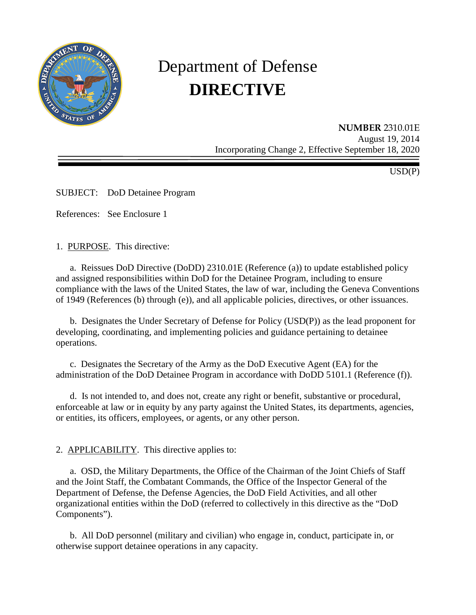

# Department of Defense **DIRECTIVE**

**NUMBER** 2310.01E August 19, 2014 Incorporating Change 2, Effective September 18, 2020

USD(P)

SUBJECT: DoD Detainee Program

References: See Enclosure 1

1. PURPOSE. This directive:

a. Reissues DoD Directive (DoDD) 2310.01E (Reference (a)) to update established policy and assigned responsibilities within DoD for the Detainee Program, including to ensure compliance with the laws of the United States, the law of war, including the Geneva Conventions of 1949 (References (b) through (e)), and all applicable policies, directives, or other issuances.

 b. Designates the Under Secretary of Defense for Policy (USD(P)) as the lead proponent for developing, coordinating, and implementing policies and guidance pertaining to detainee operations.

c. Designates the Secretary of the Army as the DoD Executive Agent (EA) for the administration of the DoD Detainee Program in accordance with DoDD 5101.1 (Reference (f)).

 d. Is not intended to, and does not, create any right or benefit, substantive or procedural, enforceable at law or in equity by any party against the United States, its departments, agencies, or entities, its officers, employees, or agents, or any other person.

2. APPLICABILITY. This directive applies to:

a. OSD, the Military Departments, the Office of the Chairman of the Joint Chiefs of Staff and the Joint Staff, the Combatant Commands, the Office of the Inspector General of the Department of Defense, the Defense Agencies, the DoD Field Activities, and all other organizational entities within the DoD (referred to collectively in this directive as the "DoD Components").

 b. All DoD personnel (military and civilian) who engage in, conduct, participate in, or otherwise support detainee operations in any capacity.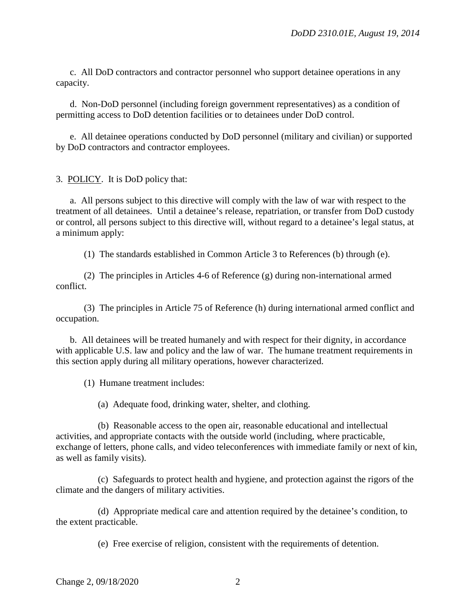c. All DoD contractors and contractor personnel who support detainee operations in any capacity.

 d. Non-DoD personnel (including foreign government representatives) as a condition of permitting access to DoD detention facilities or to detainees under DoD control.

 e. All detainee operations conducted by DoD personnel (military and civilian) or supported by DoD contractors and contractor employees.

3. POLICY. It is DoD policy that:

 a. All persons subject to this directive will comply with the law of war with respect to the treatment of all detainees. Until a detainee's release, repatriation, or transfer from DoD custody or control, all persons subject to this directive will, without regard to a detainee's legal status, at a minimum apply:

(1) The standards established in Common Article 3 to References (b) through (e).

 (2) The principles in Articles 4-6 of Reference (g) during non-international armed conflict.

 (3) The principles in Article 75 of Reference (h) during international armed conflict and occupation.

b. All detainees will be treated humanely and with respect for their dignity, in accordance with applicable U.S. law and policy and the law of war. The humane treatment requirements in this section apply during all military operations, however characterized.

(1) Humane treatment includes:

(a) Adequate food, drinking water, shelter, and clothing.

 (b) Reasonable access to the open air, reasonable educational and intellectual activities, and appropriate contacts with the outside world (including, where practicable, exchange of letters, phone calls, and video teleconferences with immediate family or next of kin, as well as family visits).

 (c) Safeguards to protect health and hygiene, and protection against the rigors of the climate and the dangers of military activities.

 (d) Appropriate medical care and attention required by the detainee's condition, to the extent practicable.

(e) Free exercise of religion, consistent with the requirements of detention.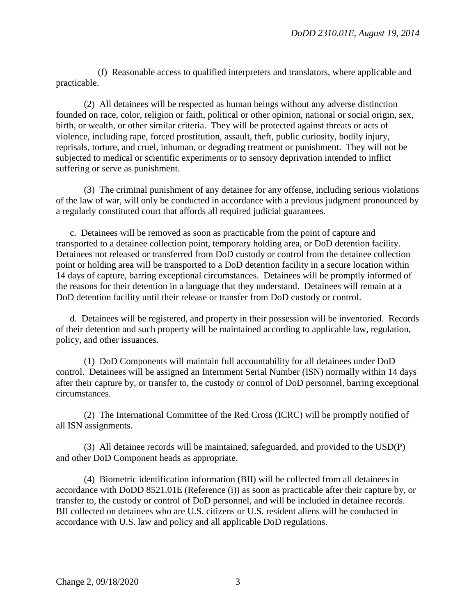(f) Reasonable access to qualified interpreters and translators, where applicable and practicable.

 (2) All detainees will be respected as human beings without any adverse distinction founded on race, color, religion or faith, political or other opinion, national or social origin, sex, birth, or wealth, or other similar criteria. They will be protected against threats or acts of violence, including rape, forced prostitution, assault, theft, public curiosity, bodily injury, reprisals, torture, and cruel, inhuman, or degrading treatment or punishment. They will not be subjected to medical or scientific experiments or to sensory deprivation intended to inflict suffering or serve as punishment.

 (3) The criminal punishment of any detainee for any offense, including serious violations of the law of war, will only be conducted in accordance with a previous judgment pronounced by a regularly constituted court that affords all required judicial guarantees.

c. Detainees will be removed as soon as practicable from the point of capture and transported to a detainee collection point, temporary holding area, or DoD detention facility. Detainees not released or transferred from DoD custody or control from the detainee collection point or holding area will be transported to a DoD detention facility in a secure location within 14 days of capture, barring exceptional circumstances. Detainees will be promptly informed of the reasons for their detention in a language that they understand. Detainees will remain at a DoD detention facility until their release or transfer from DoD custody or control.

 d. Detainees will be registered, and property in their possession will be inventoried. Records of their detention and such property will be maintained according to applicable law, regulation, policy, and other issuances.

 (1) DoD Components will maintain full accountability for all detainees under DoD control. Detainees will be assigned an Internment Serial Number (ISN) normally within 14 days after their capture by, or transfer to, the custody or control of DoD personnel, barring exceptional circumstances.

 (2) The International Committee of the Red Cross (ICRC) will be promptly notified of all ISN assignments.

 (3) All detainee records will be maintained, safeguarded, and provided to the USD(P) and other DoD Component heads as appropriate.

 (4) Biometric identification information (BII) will be collected from all detainees in accordance with DoDD 8521.01E (Reference (i)) as soon as practicable after their capture by, or transfer to, the custody or control of DoD personnel, and will be included in detainee records. BII collected on detainees who are U.S. citizens or U.S. resident aliens will be conducted in accordance with U.S. law and policy and all applicable DoD regulations.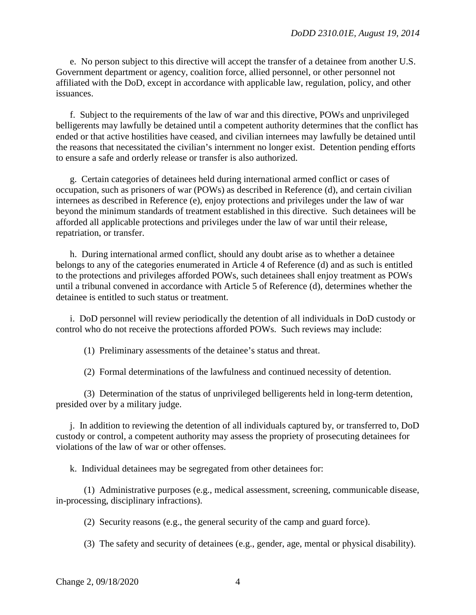e. No person subject to this directive will accept the transfer of a detainee from another U.S. Government department or agency, coalition force, allied personnel, or other personnel not affiliated with the DoD, except in accordance with applicable law, regulation, policy, and other issuances.

f. Subject to the requirements of the law of war and this directive, POWs and unprivileged belligerents may lawfully be detained until a competent authority determines that the conflict has ended or that active hostilities have ceased, and civilian internees may lawfully be detained until the reasons that necessitated the civilian's internment no longer exist. Detention pending efforts to ensure a safe and orderly release or transfer is also authorized.

g. Certain categories of detainees held during international armed conflict or cases of occupation, such as prisoners of war (POWs) as described in Reference (d), and certain civilian internees as described in Reference (e), enjoy protections and privileges under the law of war beyond the minimum standards of treatment established in this directive. Such detainees will be afforded all applicable protections and privileges under the law of war until their release, repatriation, or transfer.

 h. During international armed conflict, should any doubt arise as to whether a detainee belongs to any of the categories enumerated in Article 4 of Reference (d) and as such is entitled to the protections and privileges afforded POWs, such detainees shall enjoy treatment as POWs until a tribunal convened in accordance with Article 5 of Reference (d), determines whether the detainee is entitled to such status or treatment.

 i. DoD personnel will review periodically the detention of all individuals in DoD custody or control who do not receive the protections afforded POWs. Such reviews may include:

(1) Preliminary assessments of the detainee's status and threat.

(2) Formal determinations of the lawfulness and continued necessity of detention.

 (3) Determination of the status of unprivileged belligerents held in long-term detention, presided over by a military judge.

 j. In addition to reviewing the detention of all individuals captured by, or transferred to, DoD custody or control, a competent authority may assess the propriety of prosecuting detainees for violations of the law of war or other offenses.

k. Individual detainees may be segregated from other detainees for:

 (1) Administrative purposes (e.g., medical assessment, screening, communicable disease, in-processing, disciplinary infractions).

(2) Security reasons (e.g., the general security of the camp and guard force).

(3) The safety and security of detainees (e.g., gender, age, mental or physical disability).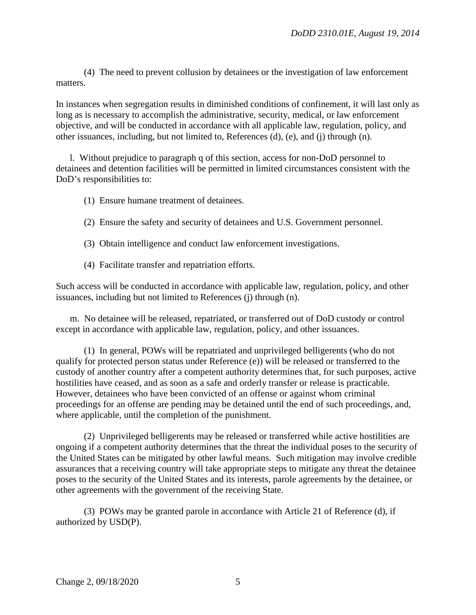(4) The need to prevent collusion by detainees or the investigation of law enforcement matters.

In instances when segregation results in diminished conditions of confinement, it will last only as long as is necessary to accomplish the administrative, security, medical, or law enforcement objective, and will be conducted in accordance with all applicable law, regulation, policy, and other issuances, including, but not limited to, References (d), (e), and (j) through (n).

 l. Without prejudice to paragraph q of this section, access for non-DoD personnel to detainees and detention facilities will be permitted in limited circumstances consistent with the DoD's responsibilities to:

- (1) Ensure humane treatment of detainees.
- (2) Ensure the safety and security of detainees and U.S. Government personnel.
- (3) Obtain intelligence and conduct law enforcement investigations.
- (4) Facilitate transfer and repatriation efforts.

Such access will be conducted in accordance with applicable law, regulation, policy, and other issuances, including but not limited to References (j) through (n).

 m. No detainee will be released, repatriated, or transferred out of DoD custody or control except in accordance with applicable law, regulation, policy, and other issuances.

 (1) In general, POWs will be repatriated and unprivileged belligerents (who do not qualify for protected person status under Reference (e)) will be released or transferred to the custody of another country after a competent authority determines that, for such purposes, active hostilities have ceased, and as soon as a safe and orderly transfer or release is practicable. However, detainees who have been convicted of an offense or against whom criminal proceedings for an offense are pending may be detained until the end of such proceedings, and, where applicable, until the completion of the punishment.

 (2) Unprivileged belligerents may be released or transferred while active hostilities are ongoing if a competent authority determines that the threat the individual poses to the security of the United States can be mitigated by other lawful means. Such mitigation may involve credible assurances that a receiving country will take appropriate steps to mitigate any threat the detainee poses to the security of the United States and its interests, parole agreements by the detainee, or other agreements with the government of the receiving State.

 (3) POWs may be granted parole in accordance with Article 21 of Reference (d), if authorized by USD(P).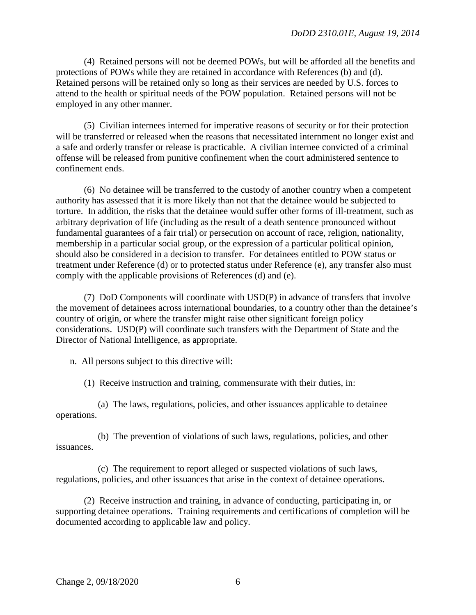(4) Retained persons will not be deemed POWs, but will be afforded all the benefits and protections of POWs while they are retained in accordance with References (b) and (d). Retained persons will be retained only so long as their services are needed by U.S. forces to attend to the health or spiritual needs of the POW population. Retained persons will not be employed in any other manner.

 (5) Civilian internees interned for imperative reasons of security or for their protection will be transferred or released when the reasons that necessitated internment no longer exist and a safe and orderly transfer or release is practicable. A civilian internee convicted of a criminal offense will be released from punitive confinement when the court administered sentence to confinement ends.

 (6) No detainee will be transferred to the custody of another country when a competent authority has assessed that it is more likely than not that the detainee would be subjected to torture. In addition, the risks that the detainee would suffer other forms of ill-treatment, such as arbitrary deprivation of life (including as the result of a death sentence pronounced without fundamental guarantees of a fair trial) or persecution on account of race, religion, nationality, membership in a particular social group, or the expression of a particular political opinion, should also be considered in a decision to transfer. For detainees entitled to POW status or treatment under Reference (d) or to protected status under Reference (e), any transfer also must comply with the applicable provisions of References (d) and (e).

 (7) DoD Components will coordinate with USD(P) in advance of transfers that involve the movement of detainees across international boundaries, to a country other than the detainee's country of origin, or where the transfer might raise other significant foreign policy considerations. USD(P) will coordinate such transfers with the Department of State and the Director of National Intelligence, as appropriate.

n. All persons subject to this directive will:

(1) Receive instruction and training, commensurate with their duties, in:

 (a) The laws, regulations, policies, and other issuances applicable to detainee operations.

 (b) The prevention of violations of such laws, regulations, policies, and other issuances.

 (c) The requirement to report alleged or suspected violations of such laws, regulations, policies, and other issuances that arise in the context of detainee operations.

 (2) Receive instruction and training, in advance of conducting, participating in, or supporting detainee operations. Training requirements and certifications of completion will be documented according to applicable law and policy.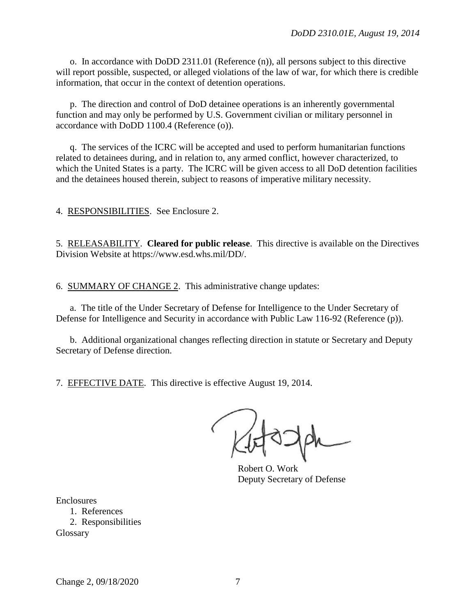o. In accordance with DoDD 2311.01 (Reference (n)), all persons subject to this directive will report possible, suspected, or alleged violations of the law of war, for which there is credible information, that occur in the context of detention operations.

 p. The direction and control of DoD detainee operations is an inherently governmental function and may only be performed by U.S. Government civilian or military personnel in accordance with DoDD 1100.4 (Reference (o)).

 q. The services of the ICRC will be accepted and used to perform humanitarian functions related to detainees during, and in relation to, any armed conflict, however characterized, to which the United States is a party. The ICRC will be given access to all DoD detention facilities and the detainees housed therein, subject to reasons of imperative military necessity.

4. RESPONSIBILITIES. See Enclosure 2.

5. RELEASABILITY. **Cleared for public release**. This directive is available on the Directives Division Website at https://www.esd.whs.mil/DD/.

6. SUMMARY OF CHANGE 2. This administrative change updates:

a. The title of the Under Secretary of Defense for Intelligence to the Under Secretary of Defense for Intelligence and Security in accordance with Public Law 116-92 (Reference (p)).

 b. Additional organizational changes reflecting direction in statute or Secretary and Deputy Secretary of Defense direction.

7. EFFECTIVE DATE. This directive is effective August 19, 2014.

Robert O. Work Deputy Secretary of Defense

Enclosures 1. References 2. Responsibilities Glossary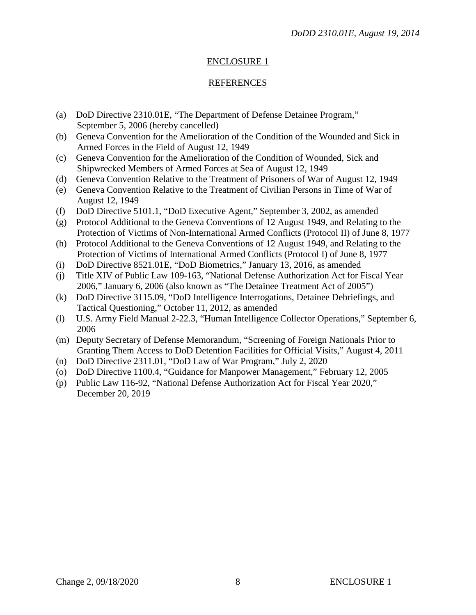## ENCLOSURE 1

#### REFERENCES

- (a) DoD Directive 2310.01E, "The Department of Defense Detainee Program," September 5, 2006 (hereby cancelled)
- (b) Geneva Convention for the Amelioration of the Condition of the Wounded and Sick in Armed Forces in the Field of August 12, 1949
- (c) Geneva Convention for the Amelioration of the Condition of Wounded, Sick and Shipwrecked Members of Armed Forces at Sea of August 12, 1949
- (d) Geneva Convention Relative to the Treatment of Prisoners of War of August 12, 1949
- (e) Geneva Convention Relative to the Treatment of Civilian Persons in Time of War of August 12, 1949
- (f) DoD Directive 5101.1, "DoD Executive Agent," September 3, 2002, as amended
- (g) Protocol Additional to the Geneva Conventions of 12 August 1949, and Relating to the Protection of Victims of Non-International Armed Conflicts (Protocol II) of June 8, 1977
- (h) Protocol Additional to the Geneva Conventions of 12 August 1949, and Relating to the Protection of Victims of International Armed Conflicts (Protocol I) of June 8, 1977
- (i) DoD Directive 8521.01E, "DoD Biometrics," January 13, 2016, as amended
- (j) Title XIV of Public Law 109-163, "National Defense Authorization Act for Fiscal Year 2006," January 6, 2006 (also known as "The Detainee Treatment Act of 2005")
- (k) DoD Directive 3115.09, "DoD Intelligence Interrogations, Detainee Debriefings, and Tactical Questioning," October 11, 2012, as amended
- (l) U.S. Army Field Manual 2-22.3, "Human Intelligence Collector Operations," September 6, 2006
- (m) Deputy Secretary of Defense Memorandum, "Screening of Foreign Nationals Prior to Granting Them Access to DoD Detention Facilities for Official Visits," August 4, 2011
- (n) DoD Directive 2311.01, "DoD Law of War Program," July 2, 2020
- (o) DoD Directive 1100.4, "Guidance for Manpower Management," February 12, 2005
- (p) Public Law 116-92, "National Defense Authorization Act for Fiscal Year 2020," December 20, 2019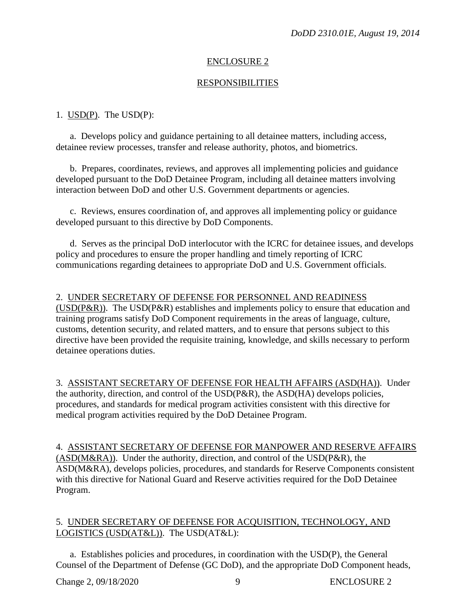## ENCLOSURE 2

### RESPONSIBILITIES

### 1.  $USD(P)$ . The  $USD(P)$ :</u>

a. Develops policy and guidance pertaining to all detainee matters, including access, detainee review processes, transfer and release authority, photos, and biometrics.

b. Prepares, coordinates, reviews, and approves all implementing policies and guidance developed pursuant to the DoD Detainee Program, including all detainee matters involving interaction between DoD and other U.S. Government departments or agencies.

c. Reviews, ensures coordination of, and approves all implementing policy or guidance developed pursuant to this directive by DoD Components.

d. Serves as the principal DoD interlocutor with the ICRC for detainee issues, and develops policy and procedures to ensure the proper handling and timely reporting of ICRC communications regarding detainees to appropriate DoD and U.S. Government officials.

### 2. UNDER SECRETARY OF DEFENSE FOR PERSONNEL AND READINESS

(USD( $P\&R$ )). The USD( $P\&R$ ) establishes and implements policy to ensure that education and training programs satisfy DoD Component requirements in the areas of language, culture, customs, detention security, and related matters, and to ensure that persons subject to this directive have been provided the requisite training, knowledge, and skills necessary to perform detainee operations duties.

3. ASSISTANT SECRETARY OF DEFENSE FOR HEALTH AFFAIRS (ASD(HA)). Under the authority, direction, and control of the USD(P&R), the ASD(HA) develops policies, procedures, and standards for medical program activities consistent with this directive for medical program activities required by the DoD Detainee Program.

4. ASSISTANT SECRETARY OF DEFENSE FOR MANPOWER AND RESERVE AFFAIRS (ASD(M&RA)). Under the authority, direction, and control of the USD(P&R), the ASD(M&RA), develops policies, procedures, and standards for Reserve Components consistent with this directive for National Guard and Reserve activities required for the DoD Detainee Program.

### 5. UNDER SECRETARY OF DEFENSE FOR ACQUISITION, TECHNOLOGY, AND LOGISTICS (USD(AT&L)). The USD(AT&L):

a. Establishes policies and procedures, in coordination with the USD(P), the General Counsel of the Department of Defense (GC DoD), and the appropriate DoD Component heads,

Change 2, 09/18/2020 9 ENCLOSURE 2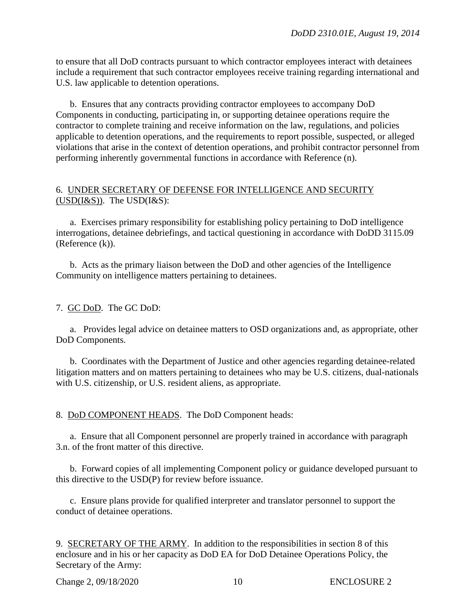to ensure that all DoD contracts pursuant to which contractor employees interact with detainees include a requirement that such contractor employees receive training regarding international and U.S. law applicable to detention operations.

b. Ensures that any contracts providing contractor employees to accompany DoD Components in conducting, participating in, or supporting detainee operations require the contractor to complete training and receive information on the law, regulations, and policies applicable to detention operations, and the requirements to report possible, suspected, or alleged violations that arise in the context of detention operations, and prohibit contractor personnel from performing inherently governmental functions in accordance with Reference (n).

#### 6. UNDER SECRETARY OF DEFENSE FOR INTELLIGENCE AND SECURITY  $(USD(I&S))$ . The  $USD(I&S)$ :

a. Exercises primary responsibility for establishing policy pertaining to DoD intelligence interrogations, detainee debriefings, and tactical questioning in accordance with DoDD 3115.09 (Reference (k)).

b. Acts as the primary liaison between the DoD and other agencies of the Intelligence Community on intelligence matters pertaining to detainees.

#### 7. GC DoD. The GC DoD:

a. Provides legal advice on detainee matters to OSD organizations and, as appropriate, other DoD Components.

b. Coordinates with the Department of Justice and other agencies regarding detainee-related litigation matters and on matters pertaining to detainees who may be U.S. citizens, dual-nationals with U.S. citizenship, or U.S. resident aliens, as appropriate.

8. DoD COMPONENT HEADS. The DoD Component heads:

a. Ensure that all Component personnel are properly trained in accordance with paragraph 3.n. of the front matter of this directive.

b. Forward copies of all implementing Component policy or guidance developed pursuant to this directive to the USD(P) for review before issuance.

c. Ensure plans provide for qualified interpreter and translator personnel to support the conduct of detainee operations.

9. SECRETARY OF THE ARMY. In addition to the responsibilities in section 8 of this enclosure and in his or her capacity as DoD EA for DoD Detainee Operations Policy, the Secretary of the Army:

Change 2, 09/18/2020 10 ENCLOSURE 2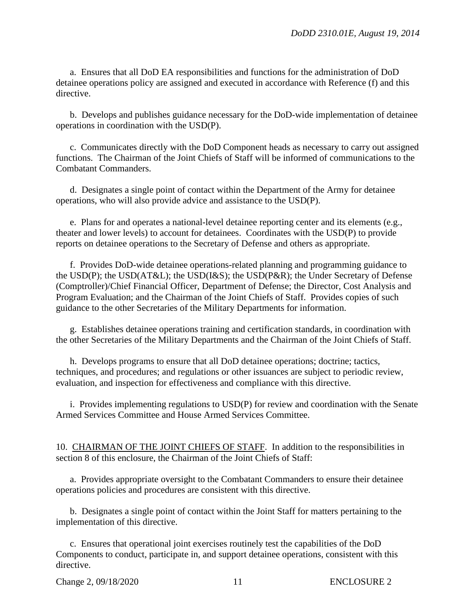a. Ensures that all DoD EA responsibilities and functions for the administration of DoD detainee operations policy are assigned and executed in accordance with Reference (f) and this directive.

b. Develops and publishes guidance necessary for the DoD-wide implementation of detainee operations in coordination with the USD(P).

c. Communicates directly with the DoD Component heads as necessary to carry out assigned functions. The Chairman of the Joint Chiefs of Staff will be informed of communications to the Combatant Commanders.

d. Designates a single point of contact within the Department of the Army for detainee operations, who will also provide advice and assistance to the USD(P).

e. Plans for and operates a national-level detainee reporting center and its elements (e.g., theater and lower levels) to account for detainees. Coordinates with the USD(P) to provide reports on detainee operations to the Secretary of Defense and others as appropriate.

f. Provides DoD-wide detainee operations-related planning and programming guidance to the USD(P); the USD(AT&L); the USD(I&S); the USD(P&R); the Under Secretary of Defense (Comptroller)/Chief Financial Officer, Department of Defense; the Director, Cost Analysis and Program Evaluation; and the Chairman of the Joint Chiefs of Staff. Provides copies of such guidance to the other Secretaries of the Military Departments for information.

g. Establishes detainee operations training and certification standards, in coordination with the other Secretaries of the Military Departments and the Chairman of the Joint Chiefs of Staff.

h. Develops programs to ensure that all DoD detainee operations; doctrine; tactics, techniques, and procedures; and regulations or other issuances are subject to periodic review, evaluation, and inspection for effectiveness and compliance with this directive.

i. Provides implementing regulations to USD(P) for review and coordination with the Senate Armed Services Committee and House Armed Services Committee.

10. CHAIRMAN OF THE JOINT CHIEFS OF STAFF. In addition to the responsibilities in section 8 of this enclosure, the Chairman of the Joint Chiefs of Staff:

a. Provides appropriate oversight to the Combatant Commanders to ensure their detainee operations policies and procedures are consistent with this directive.

b. Designates a single point of contact within the Joint Staff for matters pertaining to the implementation of this directive.

c. Ensures that operational joint exercises routinely test the capabilities of the DoD Components to conduct, participate in, and support detainee operations, consistent with this directive.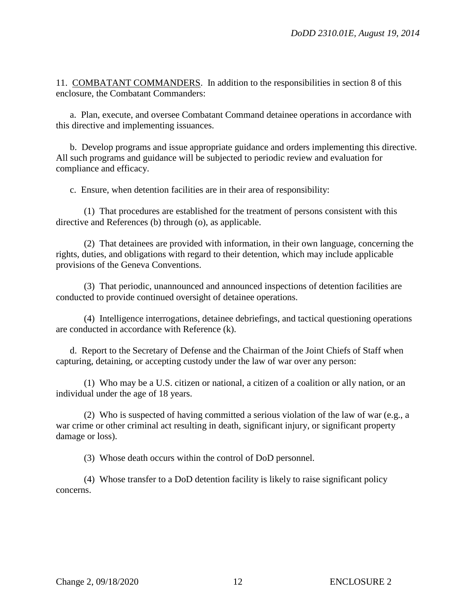11. COMBATANT COMMANDERS. In addition to the responsibilities in section 8 of this enclosure, the Combatant Commanders:

a. Plan, execute, and oversee Combatant Command detainee operations in accordance with this directive and implementing issuances.

b. Develop programs and issue appropriate guidance and orders implementing this directive. All such programs and guidance will be subjected to periodic review and evaluation for compliance and efficacy.

c. Ensure, when detention facilities are in their area of responsibility:

(1) That procedures are established for the treatment of persons consistent with this directive and References (b) through (o), as applicable.

(2) That detainees are provided with information, in their own language, concerning the rights, duties, and obligations with regard to their detention, which may include applicable provisions of the Geneva Conventions.

(3) That periodic, unannounced and announced inspections of detention facilities are conducted to provide continued oversight of detainee operations.

(4) Intelligence interrogations, detainee debriefings, and tactical questioning operations are conducted in accordance with Reference (k).

d. Report to the Secretary of Defense and the Chairman of the Joint Chiefs of Staff when capturing, detaining, or accepting custody under the law of war over any person:

(1) Who may be a U.S. citizen or national, a citizen of a coalition or ally nation, or an individual under the age of 18 years.

(2) Who is suspected of having committed a serious violation of the law of war (e.g., a war crime or other criminal act resulting in death, significant injury, or significant property damage or loss).

(3) Whose death occurs within the control of DoD personnel.

(4) Whose transfer to a DoD detention facility is likely to raise significant policy concerns.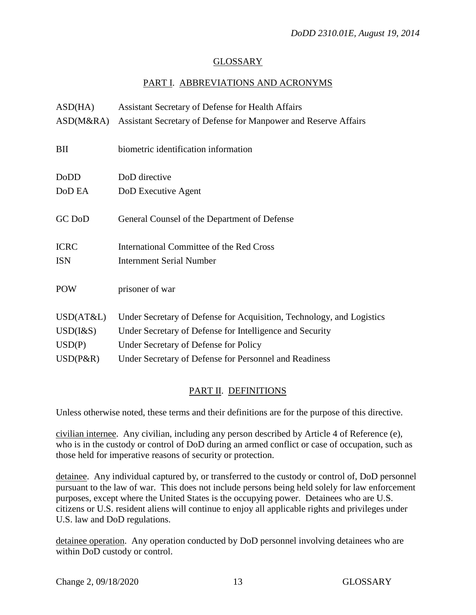### GLOSSARY

### PART I. ABBREVIATIONS AND ACRONYMS

| ASD(HA)         | Assistant Secretary of Defense for Health Affairs                     |
|-----------------|-----------------------------------------------------------------------|
| ASD(M&RA)       | Assistant Secretary of Defense for Manpower and Reserve Affairs       |
| BII             | biometric identification information                                  |
| DoDD            | DoD directive                                                         |
| DoD EA          | DoD Executive Agent                                                   |
| GC DoD          | General Counsel of the Department of Defense                          |
| <b>ICRC</b>     | International Committee of the Red Cross                              |
| <b>ISN</b>      | <b>Internment Serial Number</b>                                       |
| <b>POW</b>      | prisoner of war                                                       |
| USD(AT&L)       | Under Secretary of Defense for Acquisition, Technology, and Logistics |
| $USD$ ( $1&$ S) | Under Secretary of Defense for Intelligence and Security              |
| USD(P)          | Under Secretary of Defense for Policy                                 |
| $USD(P\&R)$     | Under Secretary of Defense for Personnel and Readiness                |

### PART II. DEFINITIONS

Unless otherwise noted, these terms and their definitions are for the purpose of this directive.

civilian internee. Any civilian, including any person described by Article 4 of Reference (e), who is in the custody or control of DoD during an armed conflict or case of occupation, such as those held for imperative reasons of security or protection.

detainee. Any individual captured by, or transferred to the custody or control of, DoD personnel pursuant to the law of war. This does not include persons being held solely for law enforcement purposes, except where the United States is the occupying power. Detainees who are U.S. citizens or U.S. resident aliens will continue to enjoy all applicable rights and privileges under U.S. law and DoD regulations.

detainee operation. Any operation conducted by DoD personnel involving detainees who are within DoD custody or control.